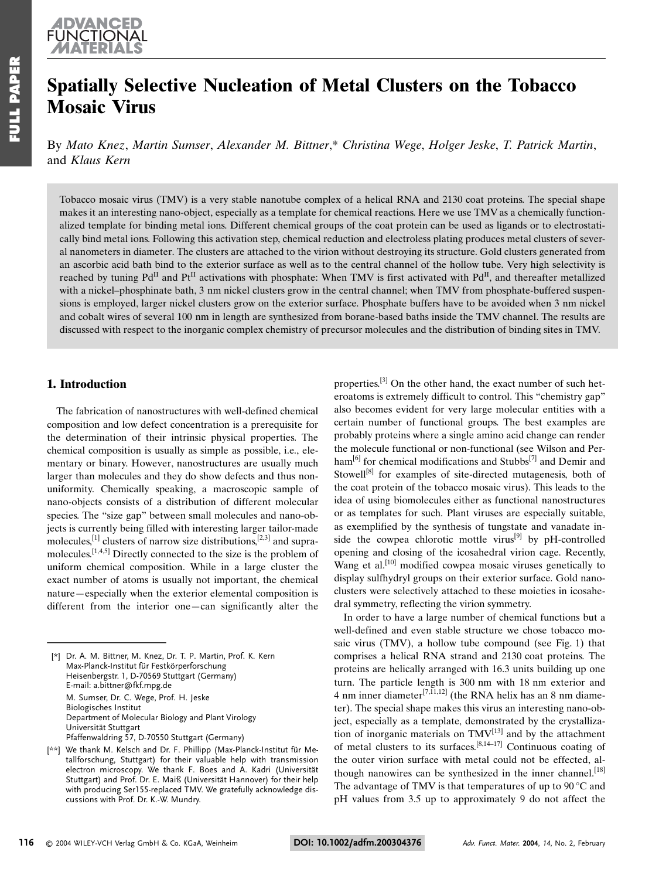# Spatially Selective Nucleation of Metal Clusters on the Tobacco **Mosaic Virus**

By Mato Knez, Martin Sumser, Alexander M. Bittner,\* Christina Wege, Holger Jeske, T. Patrick Martin, and Klaus Kern

Tobacco mosaic virus (TMV) is a very stable nanotube complex of a helical RNA and 2130 coat proteins. The special shape makes it an interesting nano-object, especially as a template for chemical reactions. Here we use TMV as a chemically functionalized template for binding metal ions. Different chemical groups of the coat protein can be used as ligands or to electrostatically bind metal ions. Following this activation step, chemical reduction and electroless plating produces metal clusters of several nanometers in diameter. The clusters are attached to the virion without destroying its structure. Gold clusters generated from an ascorbic acid bath bind to the exterior surface as well as to the central channel of the hollow tube. Very high selectivity is reached by tuning Pd<sup>II</sup> and Pt<sup>II</sup> activations with phosphate: When TMV is first activated with Pd<sup>II</sup>, and thereafter metallized with a nickel-phosphinate bath, 3 nm nickel clusters grow in the central channel; when TMV from phosphate-buffered suspensions is employed, larger nickel clusters grow on the exterior surface. Phosphate buffers have to be avoided when 3 nm nickel and cobalt wires of several 100 nm in length are synthesized from borane-based baths inside the TMV channel. The results are discussed with respect to the inorganic complex chemistry of precursor molecules and the distribution of binding sites in TMV.

# 1. Introduction

The fabrication of nanostructures with well-defined chemical composition and low defect concentration is a prerequisite for the determination of their intrinsic physical properties. The chemical composition is usually as simple as possible, *i.e.*, elementary or binary. However, nanostructures are usually much larger than molecules and they do show defects and thus nonuniformity. Chemically speaking, a macroscopic sample of nano-objects consists of a distribution of different molecular species. The "size gap" between small molecules and nano-objects is currently being filled with interesting larger tailor-made molecules,  $^{[1]}$  clusters of narrow size distributions,  $^{[2,3]}$  and supramolecules.  $[1,4,5]$  Directly connected to the size is the problem of uniform chemical composition. While in a large cluster the exact number of atoms is usually not important, the chemical nature-especially when the exterior elemental composition is different from the interior one-can significantly alter the

properties.<sup>[3]</sup> On the other hand, the exact number of such heteroatoms is extremely difficult to control. This "chemistry gap" also becomes evident for very large molecular entities with a certain number of functional groups. The best examples are probably proteins where a single amino acid change can render the molecule functional or non-functional (see Wilson and Perham<sup>[6]</sup> for chemical modifications and Stubbs<sup>[7]</sup> and Demir and Stowell<sup>[8]</sup> for examples of site-directed mutagenesis, both of the coat protein of the tobacco mosaic virus). This leads to the idea of using biomolecules either as functional nanostructures or as templates for such. Plant viruses are especially suitable, as exemplified by the synthesis of tungstate and vanadate inside the cowpea chlorotic mottle virus<sup>[9]</sup> by pH-controlled opening and closing of the icosahedral virion cage. Recently, Wang et al.<sup>[10]</sup> modified cowpea mosaic viruses genetically to display sulfhydryl groups on their exterior surface. Gold nanoclusters were selectively attached to these moieties in icosahedral symmetry, reflecting the virion symmetry.

In order to have a large number of chemical functions but a well-defined and even stable structure we chose tobacco mosaic virus (TMV), a hollow tube compound (see Fig. 1) that comprises a helical RNA strand and 2130 coat proteins. The proteins are helically arranged with 16.3 units building up one turn. The particle length is 300 nm with 18 nm exterior and 4 nm inner diameter<sup>[7,11,12]</sup> (the RNA helix has an 8 nm diameter). The special shape makes this virus an interesting nano-object, especially as a template, demonstrated by the crystallization of inorganic materials on TMV<sup>[13]</sup> and by the attachment of metal clusters to its surfaces.<sup>[8,14-17]</sup> Continuous coating of the outer virion surface with metal could not be effected, although nanowires can be synthesized in the inner channel.<sup>[18]</sup> The advantage of TMV is that temperatures of up to  $90^{\circ}$ C and pH values from 3.5 up to approximately 9 do not affect the

<sup>[\*]</sup> Dr. A. M. Bittner, M. Knez, Dr. T. P. Martin, Prof. K. Kern Max-Planck-Institut für Festkörperforschung Heisenbergstr. 1, D-70569 Stuttgart (Germany) E-mail: a.bittner@fkf.mpg.de M. Sumser, Dr. C. Wege, Prof. H. Jeske **Biologisches Institut** Department of Molecular Biology and Plant Virology Universität Stuttgart Pfaffenwaldring 57, D-70550 Stuttgart (Germany)

<sup>[\*\*]</sup> We thank M. Kelsch and Dr. F. Phillipp (Max-Planck-Institut für Metallforschung, Stuttgart) for their valuable help with transmission electron microscopy. We thank F. Boes and A. Kadri (Universität Stuttgart) and Prof. Dr. E. Maiß (Universität Hannover) for their help with producing Ser155-replaced TMV. We gratefully acknowledge discussions with Prof. Dr. K.-W. Mundry.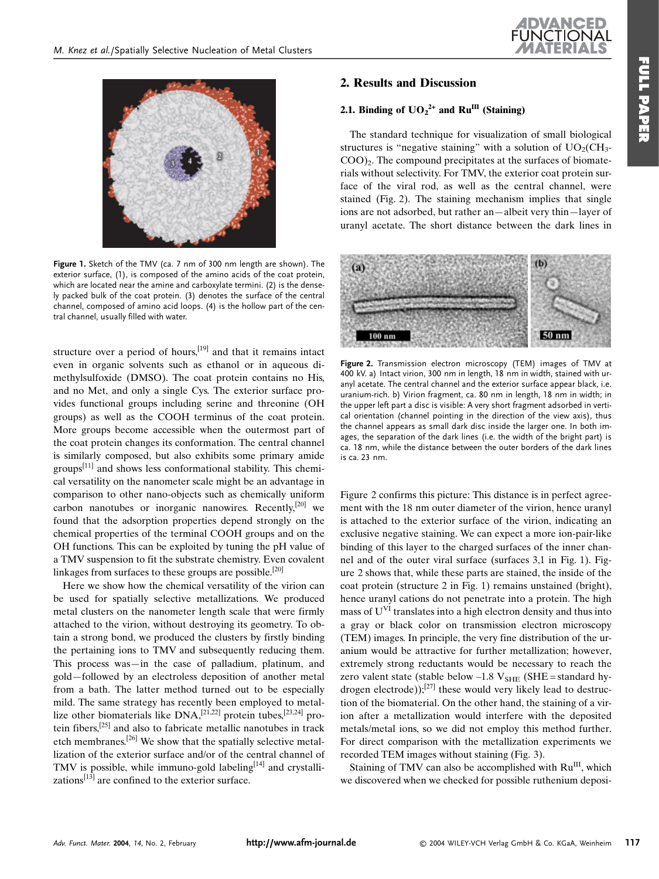

Figure 1. Sketch of the TMV (ca. 7 nm of 300 nm length are shown). The exterior surface, (1), is composed of the amino acids of the coat protein, which are located near the amine and carboxylate termini. (2) is the densely packed bulk of the coat protein. (3) denotes the surface of the central channel, composed of amino acid loops. (4) is the hollow part of the central channel, usually filled with water.

structure over a period of hours.  $[19]$  and that it remains intact even in organic solvents such as ethanol or in aqueous dimethylsulfoxide (DMSO). The coat protein contains no His. and no Met, and only a single Cys. The exterior surface provides functional groups including serine and threonine (OH groups) as well as the COOH terminus of the coat protein. More groups become accessible when the outermost part of the coat protein changes its conformation. The central channel is similarly composed, but also exhibits some primary amide  $\text{groups}^{[11]}$  and shows less conformational stability. This chemical versatility on the nanometer scale might be an advantage in comparison to other nano-objects such as chemically uniform carbon nanotubes or inorganic nanowires. Recently,<sup>[20]</sup> we found that the adsorption properties depend strongly on the chemical properties of the terminal COOH groups and on the OH functions. This can be exploited by tuning the pH value of a TMV suspension to fit the substrate chemistry. Even covalent linkages from surfaces to these groups are possible.<sup>[20]</sup>

Here we show how the chemical versatility of the virion can be used for spatially selective metallizations. We produced metal clusters on the nanometer length scale that were firmly attached to the virion, without destroying its geometry. To obtain a strong bond, we produced the clusters by firstly binding the pertaining ions to TMV and subsequently reducing them. This process was—in the case of palladium, platinum, and gold—followed by an electroless deposition of another metal from a bath. The latter method turned out to be especially mild. The same strategy has recently been employed to metallize other biomaterials like DNA,<sup>[21,22]</sup> protein tubes,<sup>[23,24]</sup> protein fibers,<sup>[25]</sup> and also to fabricate metallic nanotubes in track etch membranes.<sup>[26]</sup> We show that the spatially selective metallization of the exterior surface and/or of the central channel of TMV is possible, while immuno-gold labeling<sup>[14]</sup> and crystallizations $[13]$  are confined to the exterior surface.

# 2. Results and Discussion

# 2.1. Binding of  $UO_2^{2+}$  and Ru<sup>III</sup> (Staining)

The standard technique for visualization of small biological structures is "negative staining" with a solution of  $UO<sub>2</sub>(CH<sub>3</sub>$ - $COO<sub>2</sub>$ . The compound precipitates at the surfaces of biomaterials without selectivity. For TMV, the exterior coat protein surface of the viral rod, as well as the central channel, were stained (Fig. 2). The staining mechanism implies that single ions are not adsorbed, but rather an—albeit very thin—layer of uranyl acetate. The short distance between the dark lines in



Figure 2. Transmission electron microscopy (TEM) images of TMV at 400 kV. a) Intact virion, 300 nm in length, 18 nm in width, stained with uranyl acetate. The central channel and the exterior surface appear black, i.e. uranium-rich. b) Virion fragment, ca. 80 nm in length, 18 nm in width; in the upper left part a disc is visible: A very short fragment adsorbed in vertical orientation (channel pointing in the direction of the view axis), thus the channel appears as small dark disc inside the larger one. In both images, the separation of the dark lines (i.e. the width of the bright part) is ca. 18 nm, while the distance between the outer borders of the dark lines is ca. 23 nm.

Figure 2 confirms this picture: This distance is in perfect agreement with the 18 nm outer diameter of the virion, hence uranyl is attached to the exterior surface of the virion, indicating an exclusive negative staining. We can expect a more ion-pair-like binding of this layer to the charged surfaces of the inner channel and of the outer viral surface (surfaces 3,1 in Fig. 1). Figure 2 shows that, while these parts are stained, the inside of the coat protein (structure 2 in Fig. 1) remains unstained (bright), hence uranyl cations do not penetrate into a protein. The high mass of U<sup>VI</sup> translates into a high electron density and thus into a gray or black color on transmission electron microscopy (TEM) images. In principle, the very fine distribution of the uranium would be attractive for further metallization; however, extremely strong reductants would be necessary to reach the zero valent state (stable below  $-1.8$  V<sub>SHE</sub> (SHE = standard hydrogen electrode)); $^{[27]}$  these would very likely lead to destruction of the biomaterial. On the other hand, the staining of a virion after a metallization would interfere with the deposited metals/metal ions, so we did not employ this method further. For direct comparison with the metallization experiments we recorded TEM images without staining (Fig. 3).

Staining of TMV can also be accomplished with Ru<sup>III</sup>, which we discovered when we checked for possible ruthenium deposi-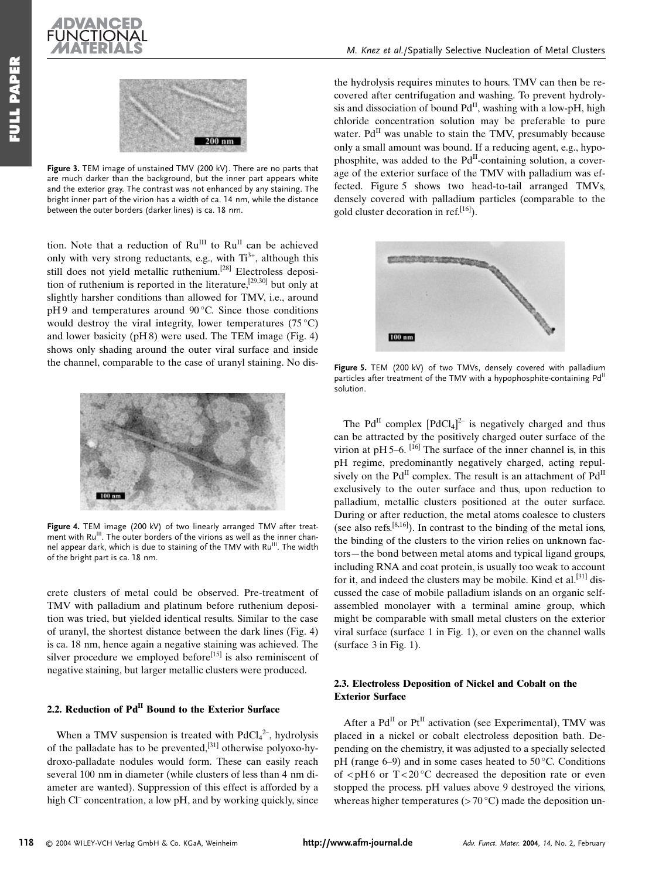



Figure 3. TEM image of unstained TMV (200 kV). There are no parts that are much darker than the background, but the inner part appears white and the exterior gray. The contrast was not enhanced by any staining. The bright inner part of the virion has a width of ca. 14 nm, while the distance between the outer borders (darker lines) is ca. 18 nm.

tion. Note that a reduction of Ru<sup>III</sup> to Ru<sup>II</sup> can be achieved only with very strong reductants, e.g., with Ti<sup>3+</sup>, although this still does not yield metallic ruthenium.<sup>[28]</sup> Electroless deposition of ruthenium is reported in the literature.<sup>[29,30]</sup> but only at slightly harsher conditions than allowed for TMV, i.e., around  $pH9$  and temperatures around 90 °C. Since those conditions would destroy the viral integrity, lower temperatures  $(75 \degree C)$ and lower basicity ( $pH8$ ) were used. The TEM image (Fig. 4) shows only shading around the outer viral surface and inside the channel, comparable to the case of uranyl staining. No dis-



Figure 4. TEM image (200 kV) of two linearly arranged TMV after treatment with Ru<sup>III</sup>. The outer borders of the virions as well as the inner channel appear dark, which is due to staining of the TMV with Ru<sup>III</sup>. The width of the bright part is ca. 18 nm.

crete clusters of metal could be observed. Pre-treatment of TMV with palladium and platinum before ruthenium deposition was tried, but yielded identical results. Similar to the case of uranyl, the shortest distance between the dark lines (Fig. 4) is ca. 18 nm, hence again a negative staining was achieved. The silver procedure we employed before<sup>[15]</sup> is also reminiscent of negative staining, but larger metallic clusters were produced.

# 2.2. Reduction of Pd<sup>II</sup> Bound to the Exterior Surface

When a TMV suspension is treated with  $PdCl<sub>4</sub><sup>2-</sup>$ , hydrolysis of the palladate has to be prevented,<sup>[31]</sup> otherwise polyoxo-hydroxo-palladate nodules would form. These can easily reach several 100 nm in diameter (while clusters of less than 4 nm diameter are wanted). Suppression of this effect is afforded by a high Cl<sup>-</sup> concentration, a low pH, and by working quickly, since the hydrolysis requires minutes to hours. TMV can then be recovered after centrifugation and washing. To prevent hydrolysis and dissociation of bound Pd<sup>II</sup>, washing with a low-pH, high chloride concentration solution may be preferable to pure water. Pd<sup>II</sup> was unable to stain the TMV, presumably because only a small amount was bound. If a reducing agent, e.g., hypophosphite, was added to the Pd<sup>II</sup>-containing solution, a coverage of the exterior surface of the TMV with palladium was effected. Figure 5 shows two head-to-tail arranged TMVs, densely covered with palladium particles (comparable to the gold cluster decoration in ref.<sup>[16]</sup>).



Figure 5. TEM (200 kV) of two TMVs, densely covered with palladium particles after treatment of the TMV with a hypophosphite-containing Pd<sup>II</sup> solution.

The Pd<sup>II</sup> complex  $[PdCl<sub>4</sub>]<sup>2-</sup>$  is negatively charged and thus can be attracted by the positively charged outer surface of the virion at pH 5–6.  $[16]$  The surface of the inner channel is, in this pH regime, predominantly negatively charged, acting repulsively on the Pd<sup>II</sup> complex. The result is an attachment of Pd<sup>II</sup> exclusively to the outer surface and thus, upon reduction to palladium, metallic clusters positioned at the outer surface. During or after reduction, the metal atoms coalesce to clusters (see also refs.  $[8,16]$ ). In contrast to the binding of the metal ions, the binding of the clusters to the virion relies on unknown factors—the bond between metal atoms and typical ligand groups. including RNA and coat protein, is usually too weak to account for it, and indeed the clusters may be mobile. Kind et al.<sup>[31]</sup> discussed the case of mobile palladium islands on an organic selfassembled monolayer with a terminal amine group, which might be comparable with small metal clusters on the exterior viral surface (surface 1 in Fig. 1), or even on the channel walls (surface  $3$  in Fig. 1).

#### 2.3. Electroless Deposition of Nickel and Cobalt on the **Exterior Surface**

After a Pd<sup>II</sup> or Pt<sup>II</sup> activation (see Experimental), TMV was placed in a nickel or cobalt electroless deposition bath. Depending on the chemistry, it was adjusted to a specially selected pH (range 6–9) and in some cases heated to  $50^{\circ}$ C. Conditions of  $\langle$  pH6 or T $\langle$ 20 °C decreased the deposition rate or even stopped the process, pH values above 9 destroyed the virions, whereas higher temperatures ( $> 70^{\circ}$ C) made the deposition un-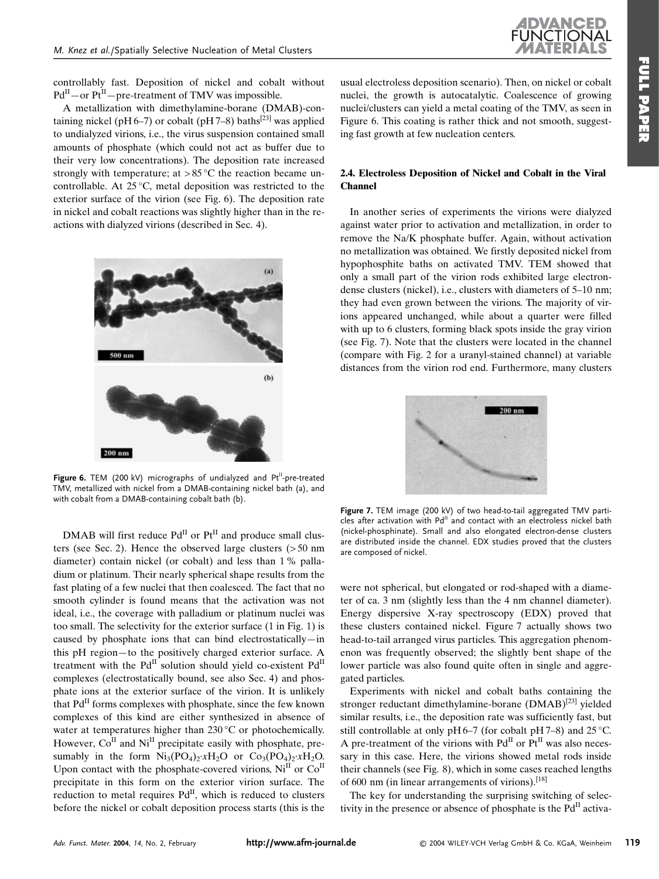

controllably fast. Deposition of nickel and cobalt without  $Pd^{II}$  – or  $Pt^{II}$  – pre-treatment of TMV was impossible.

A metallization with dimethylamine-borane (DMAB)-containing nickel (pH 6-7) or cobalt (pH 7-8) baths<sup>[23]</sup> was applied to undialyzed virions, i.e., the virus suspension contained small amounts of phosphate (which could not act as buffer due to their very low concentrations). The deposition rate increased strongly with temperature; at >85 °C the reaction became uncontrollable. At 25 °C, metal deposition was restricted to the exterior surface of the virion (see Fig. 6). The deposition rate in nickel and cobalt reactions was slightly higher than in the reactions with dialyzed virions (described in Sec. 4).



Figure 6. TEM (200 kV) micrographs of undialyzed and Pt<sup>II</sup>-pre-treated TMV, metallized with nickel from a DMAB-containing nickel bath (a), and with cobalt from a DMAB-containing cobalt bath (b).

DMAB will first reduce  $Pd^{II}$  or  $Pf^{II}$  and produce small clusters (see Sec. 2). Hence the observed large clusters  $($  > 50 nm diameter) contain nickel (or cobalt) and less than 1% palladium or platinum. Their nearly spherical shape results from the fast plating of a few nuclei that then coalesced. The fact that no smooth cylinder is found means that the activation was not ideal, i.e., the coverage with palladium or platinum nuclei was too small. The selectivity for the exterior surface (1 in Fig. 1) is caused by phosphate ions that can bind electrostatically—in this pH region-to the positively charged exterior surface. A treatment with the Pd<sup>II</sup> solution should yield co-existent Pd<sup>II</sup> complexes (electrostatically bound, see also Sec. 4) and phosphate ions at the exterior surface of the virion. It is unlikely that Pd<sup>II</sup> forms complexes with phosphate, since the few known complexes of this kind are either synthesized in absence of water at temperatures higher than 230 °C or photochemically. However, Co<sup>II</sup> and Ni<sup>II</sup> precipitate easily with phosphate, presumably in the form  $Ni_3(PO_4)_2 \times H_2O$  or  $Co_3(PO_4)_2 \times H_2O$ . Upon contact with the phosphate-covered virions, Ni<sup>II</sup> or Co<sup>II</sup> precipitate in this form on the exterior virion surface. The reduction to metal requires Pd<sup>II</sup>, which is reduced to clusters before the nickel or cobalt deposition process starts (this is the

usual electroless deposition scenario). Then, on nickel or cobalt nuclei, the growth is autocatalytic. Coalescence of growing nuclei/clusters can yield a metal coating of the TMV, as seen in Figure 6. This coating is rather thick and not smooth, suggesting fast growth at few nucleation centers.

#### 2.4. Electroless Deposition of Nickel and Cobalt in the Viral **Channel**

In another series of experiments the virions were dialyzed against water prior to activation and metallization, in order to remove the Na/K phosphate buffer. Again, without activation no metallization was obtained. We firstly deposited nickel from hypophosphite baths on activated TMV. TEM showed that only a small part of the virion rods exhibited large electrondense clusters (nickel), i.e., clusters with diameters of 5-10 nm; they had even grown between the virions. The majority of virions appeared unchanged, while about a quarter were filled with up to 6 clusters, forming black spots inside the gray virion (see Fig. 7). Note that the clusters were located in the channel (compare with Fig. 2 for a uranyl-stained channel) at variable distances from the virion rod end. Furthermore, many clusters



Figure 7. TEM image (200 kV) of two head-to-tail aggregated TMV particles after activation with Pd<sup>II</sup> and contact with an electroless nickel bath (nickel-phosphinate). Small and also elongated electron-dense clusters are distributed inside the channel. EDX studies proved that the clusters are composed of nickel.

were not spherical, but elongated or rod-shaped with a diameter of ca. 3 nm (slightly less than the 4 nm channel diameter). Energy dispersive X-ray spectroscopy (EDX) proved that these clusters contained nickel. Figure 7 actually shows two head-to-tail arranged virus particles. This aggregation phenomenon was frequently observed; the slightly bent shape of the lower particle was also found quite often in single and aggregated particles.

Experiments with nickel and cobalt baths containing the stronger reductant dimethylamine-borane (DMAB)<sup>[23]</sup> yielded similar results, i.e., the deposition rate was sufficiently fast, but still controllable at only pH6–7 (for cobalt pH7–8) and  $25^{\circ}$ C. A pre-treatment of the virions with  $Pd<sup>H</sup>$  or  $Pf<sup>H</sup>$  was also necessary in this case. Here, the virions showed metal rods inside their channels (see Fig. 8), which in some cases reached lengths of 600 nm (in linear arrangements of virions).<sup>[18]</sup>

The key for understanding the surprising switching of selectivity in the presence or absence of phosphate is the Pd<sup>II</sup> activa-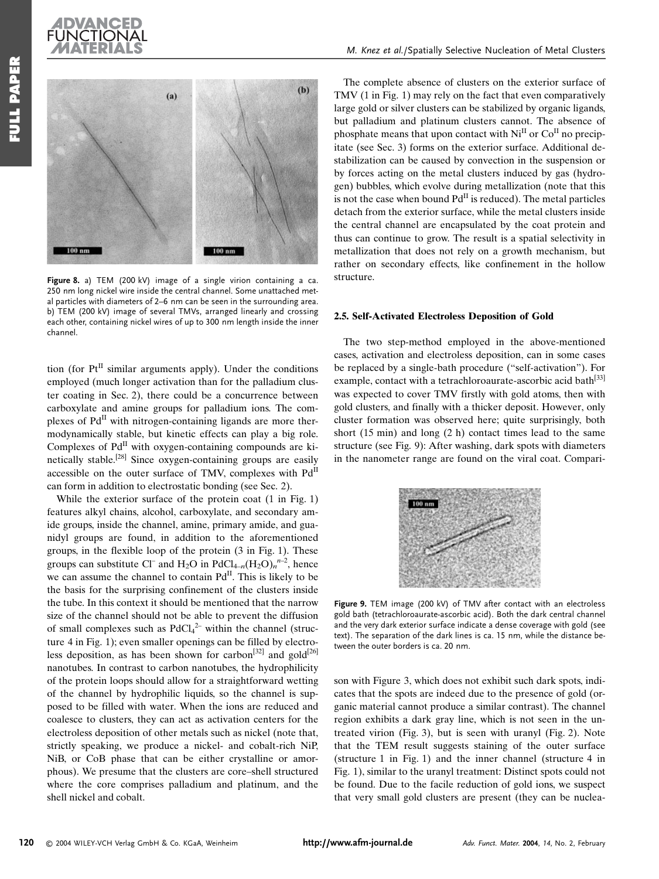



Figure 8. a) TEM (200 kV) image of a single virion containing a ca. 250 nm long nickel wire inside the central channel. Some unattached metal particles with diameters of 2-6 nm can be seen in the surrounding area. b) TEM (200 kV) image of several TMVs, arranged linearly and crossing each other, containing nickel wires of up to 300 nm length inside the inner channel

tion (for  $Pt^{II}$  similar arguments apply). Under the conditions employed (much longer activation than for the palladium cluster coating in Sec. 2), there could be a concurrence between carboxylate and amine groups for palladium ions. The complexes of  $Pd<sup>H</sup>$  with nitrogen-containing ligands are more thermodynamically stable, but kinetic effects can play a big role. Complexes of Pd<sup>II</sup> with oxygen-containing compounds are kinetically stable.<sup>[28]</sup> Since oxygen-containing groups are easily accessible on the outer surface of TMV, complexes with PdII can form in addition to electrostatic bonding (see Sec. 2).

While the exterior surface of the protein coat  $(1 \text{ in Fig. 1})$ features alkyl chains, alcohol, carboxylate, and secondary amide groups, inside the channel, amine, primary amide, and guanidyl groups are found, in addition to the aforementioned groups, in the flexible loop of the protein  $(3 \text{ in Fig. 1})$ . These groups can substitute Cl<sup>-</sup> and H<sub>2</sub>O in PdCl<sub>4-n</sub>(H<sub>2</sub>O)<sub>n</sub><sup>n-2</sup>, hence we can assume the channel to contain Pd<sup>II</sup>. This is likely to be the basis for the surprising confinement of the clusters inside the tube. In this context it should be mentioned that the narrow size of the channel should not be able to prevent the diffusion of small complexes such as  $PdCl<sub>4</sub><sup>2-</sup>$  within the channel (structure 4 in Fig. 1); even smaller openings can be filled by electroless deposition, as has been shown for carbon<sup>[32]</sup> and gold<sup>[26]</sup> nanotubes. In contrast to carbon nanotubes, the hydrophilicity of the protein loops should allow for a straightforward wetting of the channel by hydrophilic liquids, so the channel is supposed to be filled with water. When the ions are reduced and coalesce to clusters, they can act as activation centers for the electroless deposition of other metals such as nickel (note that. strictly speaking, we produce a nickel- and cobalt-rich NiP, NiB, or CoB phase that can be either crystalline or amorphous). We presume that the clusters are core-shell structured where the core comprises palladium and platinum, and the shell nickel and cobalt.

The complete absence of clusters on the exterior surface of TMV (1 in Fig. 1) may rely on the fact that even comparatively large gold or silver clusters can be stabilized by organic ligands, but palladium and platinum clusters cannot. The absence of phosphate means that upon contact with Ni<sup>II</sup> or Co<sup>II</sup> no precipitate (see Sec. 3) forms on the exterior surface. Additional destabilization can be caused by convection in the suspension or by forces acting on the metal clusters induced by gas (hydrogen) bubbles, which evolve during metallization (note that this is not the case when bound  $Pd<sup>H</sup>$  is reduced). The metal particles detach from the exterior surface, while the metal clusters inside the central channel are encapsulated by the coat protein and thus can continue to grow. The result is a spatial selectivity in metallization that does not rely on a growth mechanism, but rather on secondary effects, like confinement in the hollow structure.

#### 2.5. Self-Activated Electroless Deposition of Gold

The two step-method employed in the above-mentioned cases, activation and electroless deposition, can in some cases be replaced by a single-bath procedure ("self-activation"). For example, contact with a tetrachloroaurate-ascorbic acid bath<sup>[33]</sup> was expected to cover TMV firstly with gold atoms, then with gold clusters, and finally with a thicker deposit. However, only cluster formation was observed here; quite surprisingly, both short  $(15 \text{ min})$  and long  $(2 \text{ h})$  contact times lead to the same structure (see Fig. 9): After washing, dark spots with diameters in the nanometer range are found on the viral coat. Compari-



Figure 9. TEM image (200 kV) of TMV after contact with an electroless gold bath (tetrachloroaurate-ascorbic acid). Both the dark central channel and the very dark exterior surface indicate a dense coverage with gold (see text). The separation of the dark lines is ca. 15 nm, while the distance between the outer borders is ca. 20 nm.

son with Figure 3, which does not exhibit such dark spots, indicates that the spots are indeed due to the presence of gold (organic material cannot produce a similar contrast). The channel region exhibits a dark gray line, which is not seen in the untreated virion (Fig. 3), but is seen with uranyl (Fig. 2). Note that the TEM result suggests staining of the outer surface (structure 1 in Fig. 1) and the inner channel (structure 4 in Fig. 1), similar to the uranyl treatment: Distinct spots could not be found. Due to the facile reduction of gold ions, we suspect that very small gold clusters are present (they can be nuclea-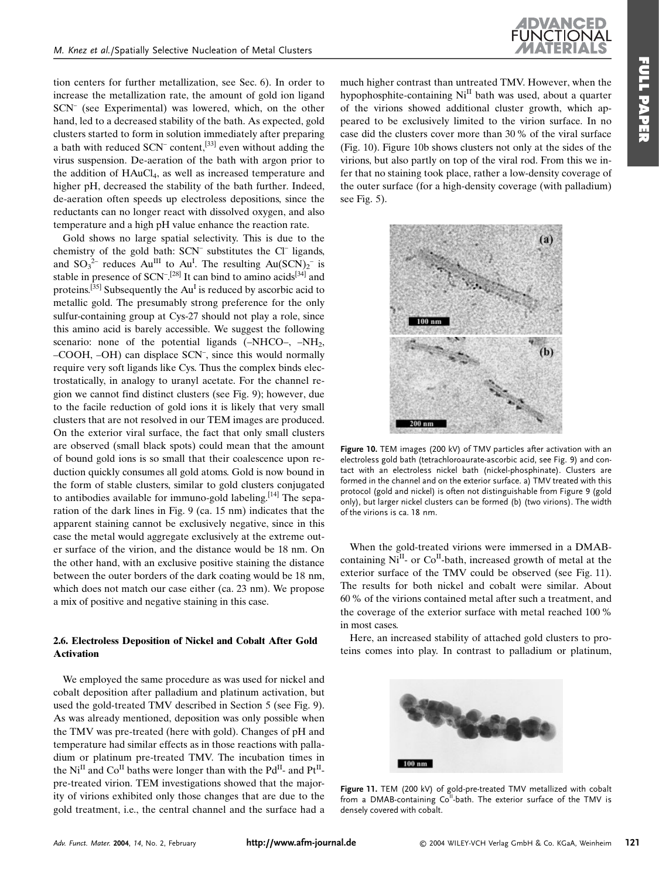

tion centers for further metallization, see Sec. 6). In order to increase the metallization rate, the amount of gold ion ligand SCN<sup>-</sup> (see Experimental) was lowered, which, on the other hand, led to a decreased stability of the bath. As expected, gold clusters started to form in solution immediately after preparing a bath with reduced  $SCN^-$  content,<sup>[33]</sup> even without adding the virus suspension. De-aeration of the bath with argon prior to the addition of HAuCl<sub>4</sub>, as well as increased temperature and higher pH, decreased the stability of the bath further. Indeed, de-aeration often speeds up electroless depositions, since the reductants can no longer react with dissolved oxygen, and also temperature and a high pH value enhance the reaction rate.

Gold shows no large spatial selectivity. This is due to the chemistry of the gold bath: SCN<sup>-</sup> substitutes the Cl<sup>-</sup> ligands, and  $SO_3^{2-}$  reduces  $Au^{III}$  to  $Au^{I}$ . The resulting  $Au(SCN)_2^-$  is stable in presence of SCN<sup>-[28]</sup> It can bind to amino acids<sup>[34]</sup> and proteins.<sup>[35]</sup> Subsequently the  $Au<sup>I</sup>$  is reduced by ascorbic acid to metallic gold. The presumably strong preference for the only sulfur-containing group at Cys-27 should not play a role, since this amino acid is barely accessible. We suggest the following scenario: none of the potential ligands  $(-NHCO-,-NH<sub>2</sub>,$ -COOH, -OH) can displace SCN<sup>-</sup>, since this would normally require very soft ligands like Cys. Thus the complex binds electrostatically, in analogy to uranyl acetate. For the channel region we cannot find distinct clusters (see Fig. 9); however, due to the facile reduction of gold ions it is likely that very small clusters that are not resolved in our TEM images are produced. On the exterior viral surface, the fact that only small clusters are observed (small black spots) could mean that the amount of bound gold ions is so small that their coalescence upon reduction quickly consumes all gold atoms. Gold is now bound in the form of stable clusters, similar to gold clusters conjugated to antibodies available for immuno-gold labeling.  $[14]$  The separation of the dark lines in Fig. 9 (ca. 15 nm) indicates that the apparent staining cannot be exclusively negative, since in this case the metal would aggregate exclusively at the extreme outer surface of the virion, and the distance would be 18 nm. On the other hand, with an exclusive positive staining the distance between the outer borders of the dark coating would be 18 nm, which does not match our case either (ca. 23 nm). We propose a mix of positive and negative staining in this case.

#### 2.6. Electroless Deposition of Nickel and Cobalt After Gold **Activation**

We employed the same procedure as was used for nickel and cobalt deposition after palladium and platinum activation, but used the gold-treated TMV described in Section 5 (see Fig. 9). As was already mentioned, deposition was only possible when the TMV was pre-treated (here with gold). Changes of pH and temperature had similar effects as in those reactions with palladium or platinum pre-treated TMV. The incubation times in the Ni<sup>II</sup> and Co<sup>II</sup> baths were longer than with the Pd<sup>II</sup>- and Pt<sup>II</sup>pre-treated virion. TEM investigations showed that the majority of virions exhibited only those changes that are due to the gold treatment, i.e., the central channel and the surface had a much higher contrast than untreated TMV. However, when the hypophosphite-containing Ni<sup>II</sup> bath was used, about a quarter of the virions showed additional cluster growth, which appeared to be exclusively limited to the virion surface. In no case did the clusters cover more than 30 % of the viral surface (Fig. 10). Figure 10b shows clusters not only at the sides of the virions, but also partly on top of the viral rod. From this we infer that no staining took place, rather a low-density coverage of the outer surface (for a high-density coverage (with palladium)



see Fig.  $5$ ).

Figure 10. TEM images (200 kV) of TMV particles after activation with an electroless gold bath (tetrachloroaurate-ascorbic acid, see Fig. 9) and contact with an electroless nickel bath (nickel-phosphinate). Clusters are formed in the channel and on the exterior surface. a) TMV treated with this protocol (gold and nickel) is often not distinguishable from Figure 9 (gold only), but larger nickel clusters can be formed (b) (two virions). The width of the virions is ca. 18 nm.

When the gold-treated virions were immersed in a DMABcontaining Ni<sup>II</sup>- or Co<sup>II</sup>-bath, increased growth of metal at the exterior surface of the TMV could be observed (see Fig. 11). The results for both nickel and cobalt were similar. About 60 % of the virions contained metal after such a treatment, and the coverage of the exterior surface with metal reached 100 % in most cases

Here, an increased stability of attached gold clusters to proteins comes into play. In contrast to palladium or platinum.



Figure 11. TEM (200 kV) of gold-pre-treated TMV metallized with cobalt from a DMAB-containing Co<sup>ll</sup>-bath. The exterior surface of the TMV is densely covered with cobalt.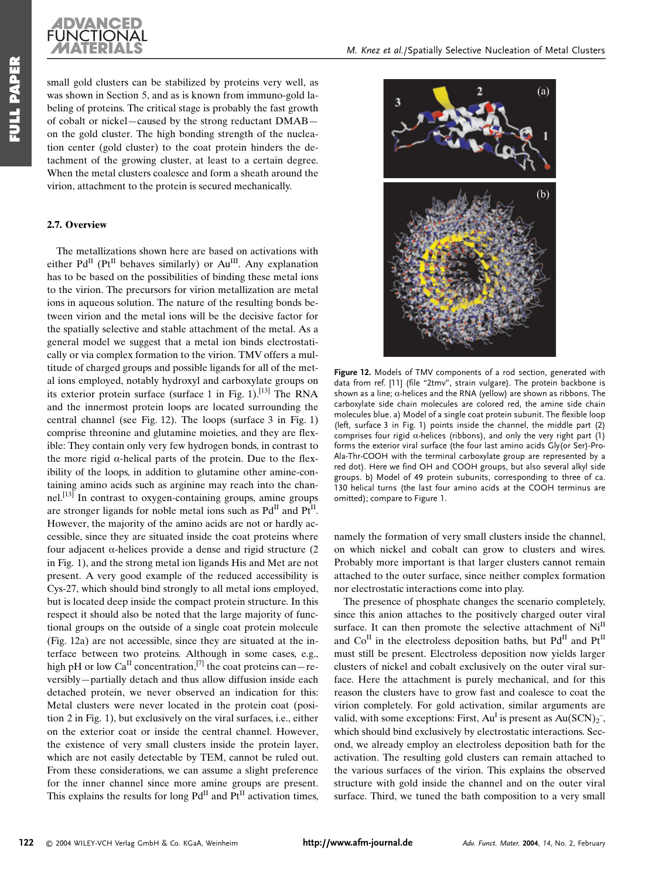

small gold clusters can be stabilized by proteins very well, as was shown in Section 5, and as is known from immuno-gold labeling of proteins. The critical stage is probably the fast growth of cobalt or nickel-caused by the strong reductant DMABon the gold cluster. The high bonding strength of the nucleation center (gold cluster) to the coat protein hinders the detachment of the growing cluster, at least to a certain degree. When the metal clusters coalesce and form a sheath around the virion, attachment to the protein is secured mechanically.

#### 2.7. Overview

The metallizations shown here are based on activations with either  $Pd^{II}$  ( $Pt^{II}$  behaves similarly) or  $Au^{III}$ . Any explanation has to be based on the possibilities of binding these metal ions to the virion. The precursors for virion metallization are metal ions in aqueous solution. The nature of the resulting bonds between virion and the metal ions will be the decisive factor for the spatially selective and stable attachment of the metal. As a general model we suggest that a metal ion binds electrostatically or via complex formation to the virion. TMV offers a multitude of charged groups and possible ligands for all of the metal ions employed, notably hydroxyl and carboxylate groups on its exterior protein surface (surface 1 in Fig. 1).<sup>[13]</sup> The RNA and the innermost protein loops are located surrounding the central channel (see Fig. 12). The loops (surface 3 in Fig. 1) comprise threonine and glutamine moieties, and they are flexible: They contain only very few hydrogen bonds, in contrast to the more rigid  $\alpha$ -helical parts of the protein. Due to the flexibility of the loops, in addition to glutamine other amine-containing amino acids such as arginine may reach into the chan- $\text{nel.}^{\left[13\right]}$  In contrast to oxygen-containing groups, amine groups are stronger ligands for noble metal ions such as Pd<sup>II</sup> and Pt<sup>II</sup>. However, the majority of the amino acids are not or hardly accessible, since they are situated inside the coat proteins where four adjacent  $\alpha$ -helices provide a dense and rigid structure (2) in Fig. 1), and the strong metal ion ligands His and Met are not present. A very good example of the reduced accessibility is Cys-27, which should bind strongly to all metal ions employed, but is located deep inside the compact protein structure. In this respect it should also be noted that the large majority of functional groups on the outside of a single coat protein molecule (Fig. 12a) are not accessible, since they are situated at the interface between two proteins. Although in some cases, e.g., high pH or low Ca<sup>II</sup> concentration,<sup>[7]</sup> the coat proteins can – reversibly—partially detach and thus allow diffusion inside each detached protein, we never observed an indication for this: Metal clusters were never located in the protein coat (position 2 in Fig. 1), but exclusively on the viral surfaces, i.e., either on the exterior coat or inside the central channel. However, the existence of very small clusters inside the protein layer, which are not easily detectable by TEM, cannot be ruled out. From these considerations, we can assume a slight preference for the inner channel since more amine groups are present. This explains the results for long  $Pd<sup>H</sup>$  and  $Pt<sup>H</sup>$  activation times,



Figure 12. Models of TMV components of a rod section, generated with data from ref. [11] (file "2tmv", strain vulgare). The protein backbone is shown as a line;  $\alpha$ -helices and the RNA (yellow) are shown as ribbons. The carboxylate side chain molecules are colored red, the amine side chain molecules blue. a) Model of a single coat protein subunit. The flexible loop (left, surface 3 in Fig. 1) points inside the channel, the middle part (2) comprises four rigid  $\alpha$ -helices (ribbons), and only the very right part (1) forms the exterior viral surface (the four last amino acids Gly(or Ser)-Pro-Ala-Thr-COOH with the terminal carboxylate group are represented by a red dot). Here we find OH and COOH groups, but also several alkyl side groups. b) Model of 49 protein subunits, corresponding to three of ca. 130 helical turns (the last four amino acids at the COOH terminus are omitted); compare to Figure 1.

namely the formation of very small clusters inside the channel, on which nickel and cobalt can grow to clusters and wires. Probably more important is that larger clusters cannot remain attached to the outer surface, since neither complex formation nor electrostatic interactions come into play.

The presence of phosphate changes the scenario completely, since this anion attaches to the positively charged outer viral surface. It can then promote the selective attachment of Ni<sup>II</sup> and Co<sup>II</sup> in the electroless deposition baths, but Pd<sup>II</sup> and Pt<sup>II</sup> must still be present. Electroless deposition now yields larger clusters of nickel and cobalt exclusively on the outer viral surface. Here the attachment is purely mechanical, and for this reason the clusters have to grow fast and coalesce to coat the virion completely. For gold activation, similar arguments are valid, with some exceptions: First,  $Au<sup>I</sup>$  is present as  $Au(SCN)_2^-$ , which should bind exclusively by electrostatic interactions. Second, we already employ an electroless deposition bath for the activation. The resulting gold clusters can remain attached to the various surfaces of the virion. This explains the observed structure with gold inside the channel and on the outer viral surface. Third, we tuned the bath composition to a very small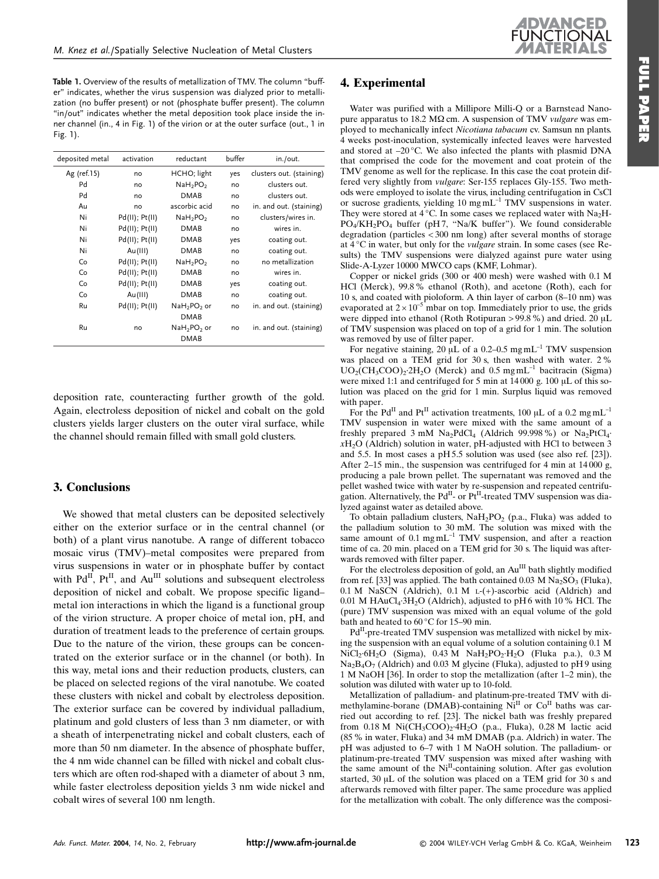Table 1. Overview of the results of metallization of TMV. The column "buffer" indicates, whether the virus suspension was dialyzed prior to metallization (no buffer present) or not (phosphate buffer present). The column "in/out" indicates whether the metal deposition took place inside the inner channel (in., 4 in Fig. 1) of the virion or at the outer surface (out., 1 in Fig. 1).

| deposited metal | activation          | reductant                        | buffer | in./out.                 |
|-----------------|---------------------|----------------------------------|--------|--------------------------|
| Ag (ref.15)     | no                  | HCHO; light                      | yes    | clusters out. (staining) |
| Pd              | no                  | NaH <sub>2</sub> PO <sub>2</sub> | no     | clusters out.            |
| Pd              | no                  | DMAB                             | no     | clusters out.            |
| Au              | no                  | ascorbic acid                    | no     | in. and out. (staining)  |
| Ni              | $Pd(II)$ ; $Pt(II)$ | NaH <sub>2</sub> PO <sub>2</sub> | no     | clusters/wires in.       |
| Ni              | $Pd(II)$ ; $Pt(II)$ | <b>DMAB</b>                      | no     | wires in.                |
| Ni              | $Pd(II)$ ; $Pt(II)$ | <b>DMAB</b>                      | yes    | coating out.             |
| Ni              | Au(III)             | <b>DMAB</b>                      | no     | coating out.             |
| Co              | Pd(II); Pt(II)      | NaH <sub>2</sub> PO <sub>2</sub> | no     | no metallization         |
| Co              | $Pd(II)$ ; $Pt(II)$ | DMAB                             | no     | wires in.                |
| Co              | $Pd(II)$ ; $Pt(II)$ | <b>DMAB</b>                      | yes    | coating out.             |
| Co              | Au(III)             | <b>DMAB</b>                      | no     | coating out.             |
| Ru              | Pd(II); Pt(II)      | $NaH2PO2$ or                     | no     | in. and out. (staining)  |
|                 |                     | <b>DMAB</b>                      |        |                          |
| Ru              | no                  | $NaH2PO2$ or                     | no     | in. and out. (staining)  |
|                 |                     | <b>DMAB</b>                      |        |                          |

deposition rate, counteracting further growth of the gold. Again, electroless deposition of nickel and cobalt on the gold clusters yields larger clusters on the outer viral surface, while the channel should remain filled with small gold clusters.

### 3. Conclusions

We showed that metal clusters can be deposited selectively either on the exterior surface or in the central channel (or both) of a plant virus nanotube. A range of different tobacco mosaic virus (TMV)-metal composites were prepared from virus suspensions in water or in phosphate buffer by contact with Pd<sup>II</sup>, Pt<sup>II</sup>, and Au<sup>III</sup> solutions and subsequent electroless deposition of nickel and cobalt. We propose specific ligandmetal ion interactions in which the ligand is a functional group of the virion structure. A proper choice of metal ion, pH, and duration of treatment leads to the preference of certain groups. Due to the nature of the virion, these groups can be concentrated on the exterior surface or in the channel (or both). In this way, metal ions and their reduction products, clusters, can be placed on selected regions of the viral nanotube. We coated these clusters with nickel and cobalt by electroless deposition. The exterior surface can be covered by individual palladium, platinum and gold clusters of less than 3 nm diameter, or with a sheath of interpenetrating nickel and cobalt clusters, each of more than 50 nm diameter. In the absence of phosphate buffer, the 4 nm wide channel can be filled with nickel and cobalt clusters which are often rod-shaped with a diameter of about 3 nm, while faster electroless deposition yields 3 nm wide nickel and cobalt wires of several 100 nm length.

# 4. Experimental

Water was purified with a Millipore Milli-Q or a Barnstead Nanopure apparatus to 18.2 M $\Omega$  cm. A suspension of TMV vulgare was employed to mechanically infect Nicotiana tabacum cv. Samsun nn plants. 4 weeks post-inoculation, systemically infected leaves were harvested and stored at -20 °C. We also infected the plants with plasmid DNA that comprised the code for the movement and coat protein of the TMV genome as well for the replicase. In this case the coat protein differed very slightly from *vulgare*: Ser-155 replaces Gly-155. Two methods were employed to isolate the virus, including centrifugation in CsCl or sucrose gradients, yielding 10 mg mL<sup>-1</sup> TMV suspensions in water. They were stored at 4 °C. In some cases we replaced water with  $Na<sub>2</sub>H$ -PO<sub>4</sub>/KH<sub>2</sub>PO<sub>4</sub> buffer (pH7, "Na/K buffer"). We found considerable degradation (particles  $<$  300 nm long) after several months of storage at  $4^{\circ}$ C in water, but only for the *vulgare* strain. In some cases (see Results) the TMV suspensions were dialyzed against pure water using Slide-A-Lyzer 10000 MWCO caps (KMF, Lohmar).

Copper or nickel grids (300 or 400 mesh) were washed with 0.1 M HCl (Merck), 99.8% ethanol (Roth), and acetone (Roth), each for 10 s, and coated with pioloform. A thin layer of carbon (8-10 nm) was evaporated at  $2 \times 10^{-5}$  mbar on top. Immediately prior to use, the grids were dipped into ethanol (Roth Rotipuran > 99.8 %) and dried. 20  $\mu$ L of TMV suspension was placed on top of a grid for 1 min. The solution was removed by use of filter paper.

For negative staining, 20  $\mu L$  of a 0.2–0.5 mg mL<sup>-1</sup> TMV suspension was placed on a TEM grid for 30 s, then washed with water. 2 %  $UO<sub>2</sub>(CH<sub>3</sub>COO)<sub>2</sub>·2H<sub>2</sub>O$  (Merck) and 0.5 mg mL<sup>-1</sup> bacitracin (Sigma) were mixed 1:1 and centrifuged for 5 min at  $14000$  g.  $100 \mu L$  of this solution was placed on the grid for 1 min. Surplus liquid was removed with paper.

For the Pd<sup>II</sup> and Pt<sup>II</sup> activation treatments, 100 µL of a 0.2 mg mL<sup>-1</sup> TMV suspension in water were mixed with the same amount of a freshly prepared  $3 \text{ mM }$  Na<sub>2</sub>PdCl<sub>4</sub> (Aldrich 99.998%) or Na<sub>2</sub>PtCl<sub>4</sub>.  $xH_2O$  (Aldrich) solution in water, pH-adjusted with HCl to between 3 and 5.5. In most cases a pH 5.5 solution was used (see also ref. [23]). After 2-15 min., the suspension was centrifuged for 4 min at 14000 g, producing a pale brown pellet. The supernatant was removed and the pellet washed twice with water by re-suspension and repeated centrifugation. Alternatively, the Pd<sup>II</sup>- or Pt<sup>II</sup>-treated TMV suspension was dialyzed against water as detailed above.

To obtain palladium clusters, NaH<sub>2</sub>PO<sub>2</sub> (p.a., Fluka) was added to the palladium solution to 30 mM. The solution was mixed with the same amount of  $0.1 \text{ mg} \text{mL}^{-1}$  TMV suspension, and after a reaction time of ca. 20 min. placed on a TEM grid for 30 s. The liquid was afterwards removed with filter paper.

For the electroless deposition of gold, an  $\mathrm{Au}^\mathrm{III}$  bath slightly modified from ref. [33] was applied. The bath contained 0.03 M  $\text{Na}_2\text{SO}_3$  (Fluka), 0.1 M NaSCN (Aldrich), 0.1 M L-(+)-ascorbic acid (Aldrich) and  $0.01$  M HAuCl<sub>4</sub>·3H<sub>2</sub>O (Aldrich), adjusted to pH 6 with 10 % HCl. The (pure) TMV suspension was mixed with an equal volume of the gold bath and heated to 60 °C for 15–90 min.

Pd<sup>II</sup>-pre-treated TMV suspension was metallized with nickel by mixing the suspension with an equal volume of a solution containing 0.1 M  $NiCl<sub>2</sub>·6H<sub>2</sub>O$  (Sigma), 0.43 M NaH<sub>2</sub>PO<sub>2</sub>·H<sub>2</sub>O (Fluka p.a.), 0.3 M  $Na<sub>2</sub>B<sub>4</sub>O<sub>7</sub>$  (Aldrich) and 0.03 M glycine (Fluka), adjusted to pH9 using 1 M NaOH [36]. In order to stop the metallization (after 1–2 min), the solution was diluted with water up to 10-fold.

Metallization of palladium- and platinum-pre-treated TMV with dimethylamine-borane (DMAB)-containing Ni<sup>II</sup> or Co<sup>II</sup> baths was carried out according to ref. [23]. The nickel bath was freshly prepared from  $0.18$  M Ni(CH<sub>3</sub>COO)<sub>2</sub>·4H<sub>2</sub>O (p.a., Fluka), 0.28 M lactic acid (85 % in water, Fluka) and 34 mM DMAB (p.a. Aldrich) in water. The pH was adjusted to 6-7 with 1 M NaOH solution. The palladium- or platinum-pre-treated TMV suspension was mixed after washing with the same amount of the Ni<sup>II</sup>-containing solution. After gas evolution started, 30 µL of the solution was placed on a TEM grid for 30 s and afterwards removed with filter paper. The same procedure was applied for the metallization with cobalt. The only difference was the composi-